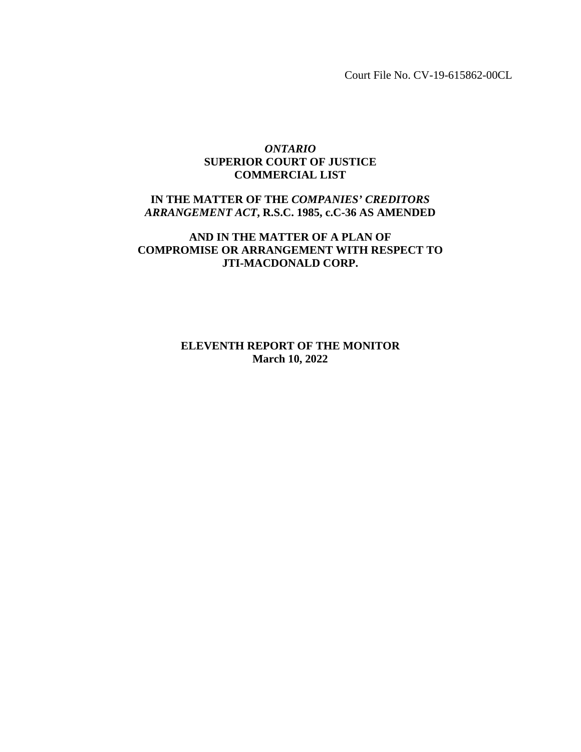Court File No. CV-19-615862-00CL

# *ONTARIO* **SUPERIOR COURT OF JUSTICE COMMERCIAL LIST**

# **IN THE MATTER OF THE** *COMPANIES' CREDITORS ARRANGEMENT ACT***, R.S.C. 1985, c.C-36 AS AMENDED**

# **AND IN THE MATTER OF A PLAN OF COMPROMISE OR ARRANGEMENT WITH RESPECT TO JTI-MACDONALD CORP.**

**ELEVENTH REPORT OF THE MONITOR March 10, 2022**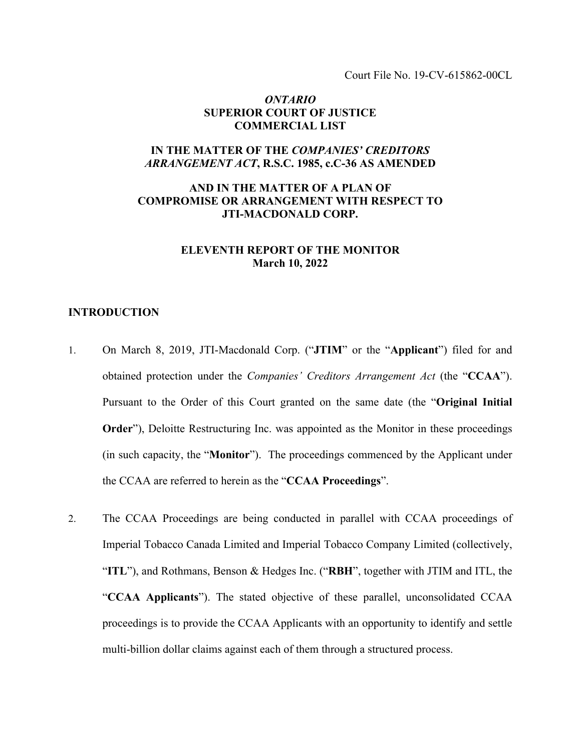Court File No. 19-CV-615862-00CL

## *ONTARIO* **SUPERIOR COURT OF JUSTICE COMMERCIAL LIST**

## **IN THE MATTER OF THE** *COMPANIES' CREDITORS ARRANGEMENT ACT***, R.S.C. 1985, c.C-36 AS AMENDED**

# **AND IN THE MATTER OF A PLAN OF COMPROMISE OR ARRANGEMENT WITH RESPECT TO JTI-MACDONALD CORP.**

# **ELEVENTH REPORT OF THE MONITOR March 10, 2022**

## **INTRODUCTION**

- 1. On March 8, 2019, JTI-Macdonald Corp. ("**JTIM**" or the "**Applicant**") filed for and obtained protection under the *Companies' Creditors Arrangement Act* (the "**CCAA**"). Pursuant to the Order of this Court granted on the same date (the "**Original Initial Order**"), Deloitte Restructuring Inc. was appointed as the Monitor in these proceedings (in such capacity, the "**Monitor**").The proceedings commenced by the Applicant under the CCAA are referred to herein as the "**CCAA Proceedings**".
- 2. The CCAA Proceedings are being conducted in parallel with CCAA proceedings of Imperial Tobacco Canada Limited and Imperial Tobacco Company Limited (collectively, "**ITL**"), and Rothmans, Benson & Hedges Inc. ("**RBH**", together with JTIM and ITL, the "**CCAA Applicants**"). The stated objective of these parallel, unconsolidated CCAA proceedings is to provide the CCAA Applicants with an opportunity to identify and settle multi-billion dollar claims against each of them through a structured process.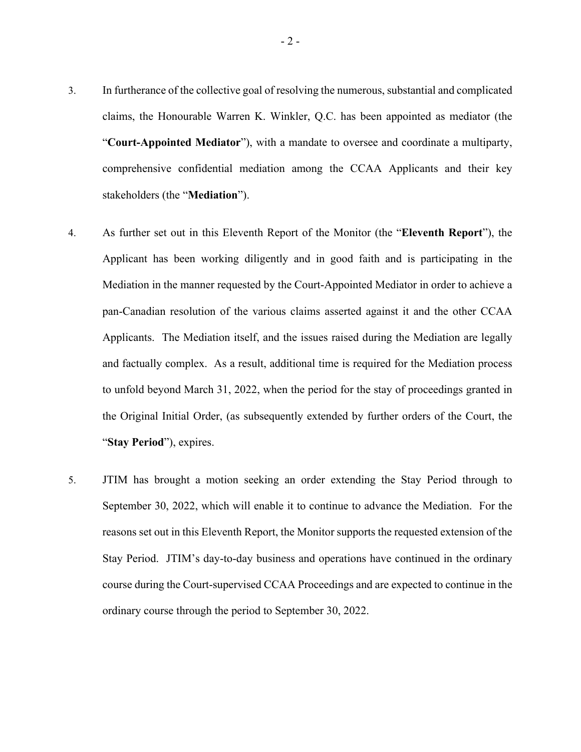- 3. In furtherance of the collective goal of resolving the numerous, substantial and complicated claims, the Honourable Warren K. Winkler, Q.C. has been appointed as mediator (the "**Court-Appointed Mediator**"), with a mandate to oversee and coordinate a multiparty, comprehensive confidential mediation among the CCAA Applicants and their key stakeholders (the "**Mediation**").
- 4. As further set out in this Eleventh Report of the Monitor (the "**Eleventh Report**"), the Applicant has been working diligently and in good faith and is participating in the Mediation in the manner requested by the Court-Appointed Mediator in order to achieve a pan-Canadian resolution of the various claims asserted against it and the other CCAA Applicants. The Mediation itself, and the issues raised during the Mediation are legally and factually complex. As a result, additional time is required for the Mediation process to unfold beyond March 31, 2022, when the period for the stay of proceedings granted in the Original Initial Order, (as subsequently extended by further orders of the Court, the "**Stay Period**"), expires.
- 5. JTIM has brought a motion seeking an order extending the Stay Period through to September 30, 2022, which will enable it to continue to advance the Mediation. For the reasons set out in this Eleventh Report, the Monitor supports the requested extension of the Stay Period. JTIM's day-to-day business and operations have continued in the ordinary course during the Court-supervised CCAA Proceedings and are expected to continue in the ordinary course through the period to September 30, 2022.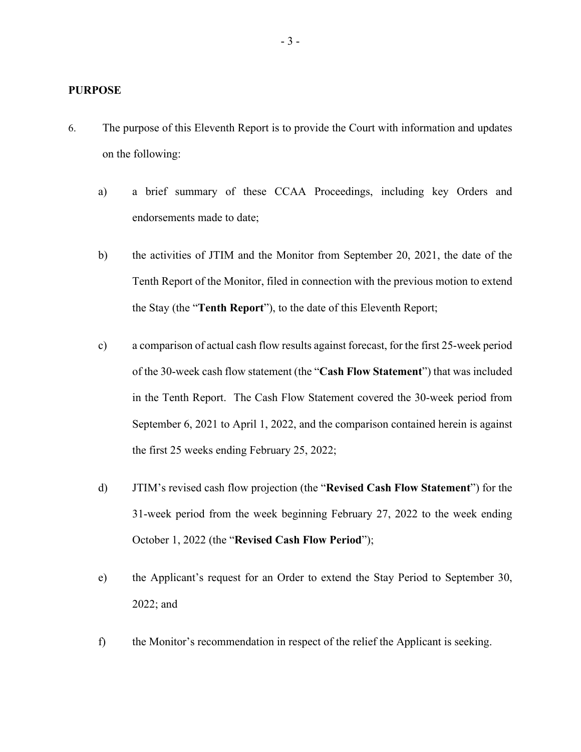### **PURPOSE**

- 6. The purpose of this Eleventh Report is to provide the Court with information and updates on the following:
	- a) a brief summary of these CCAA Proceedings, including key Orders and endorsements made to date;
	- b) the activities of JTIM and the Monitor from September 20, 2021, the date of the Tenth Report of the Monitor, filed in connection with the previous motion to extend the Stay (the "**Tenth Report**"), to the date of this Eleventh Report;
	- c) a comparison of actual cash flow results against forecast, for the first 25-week period of the 30-week cash flow statement (the "**Cash Flow Statement**") that was included in the Tenth Report. The Cash Flow Statement covered the 30-week period from September 6, 2021 to April 1, 2022, and the comparison contained herein is against the first 25 weeks ending February 25, 2022;
	- d) JTIM's revised cash flow projection (the "**Revised Cash Flow Statement**") for the 31-week period from the week beginning February 27, 2022 to the week ending October 1, 2022 (the "**Revised Cash Flow Period**");
	- e) the Applicant's request for an Order to extend the Stay Period to September 30, 2022; and
	- f) the Monitor's recommendation in respect of the relief the Applicant is seeking.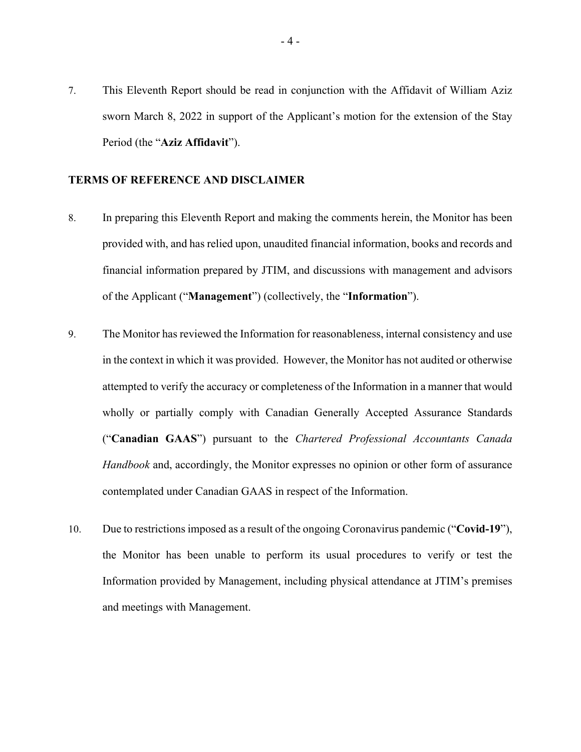7. This Eleventh Report should be read in conjunction with the Affidavit of William Aziz sworn March 8, 2022 in support of the Applicant's motion for the extension of the Stay Period (the "**Aziz Affidavit**").

## **TERMS OF REFERENCE AND DISCLAIMER**

- 8. In preparing this Eleventh Report and making the comments herein, the Monitor has been provided with, and has relied upon, unaudited financial information, books and records and financial information prepared by JTIM, and discussions with management and advisors of the Applicant ("**Management**") (collectively, the "**Information**").
- 9. The Monitor has reviewed the Information for reasonableness, internal consistency and use in the context in which it was provided. However, the Monitor has not audited or otherwise attempted to verify the accuracy or completeness of the Information in a manner that would wholly or partially comply with Canadian Generally Accepted Assurance Standards ("**Canadian GAAS**") pursuant to the *Chartered Professional Accountants Canada Handbook* and, accordingly, the Monitor expresses no opinion or other form of assurance contemplated under Canadian GAAS in respect of the Information.
- 10. Due to restrictions imposed as a result of the ongoing Coronavirus pandemic ("**Covid-19**"), the Monitor has been unable to perform its usual procedures to verify or test the Information provided by Management, including physical attendance at JTIM's premises and meetings with Management.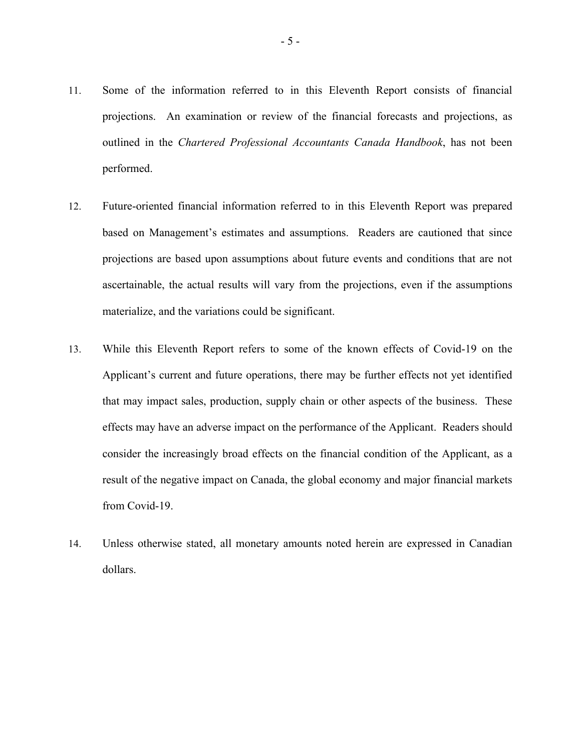- 11. Some of the information referred to in this Eleventh Report consists of financial projections. An examination or review of the financial forecasts and projections, as outlined in the *Chartered Professional Accountants Canada Handbook*, has not been performed.
- 12. Future-oriented financial information referred to in this Eleventh Report was prepared based on Management's estimates and assumptions. Readers are cautioned that since projections are based upon assumptions about future events and conditions that are not ascertainable, the actual results will vary from the projections, even if the assumptions materialize, and the variations could be significant.
- 13. While this Eleventh Report refers to some of the known effects of Covid-19 on the Applicant's current and future operations, there may be further effects not yet identified that may impact sales, production, supply chain or other aspects of the business. These effects may have an adverse impact on the performance of the Applicant. Readers should consider the increasingly broad effects on the financial condition of the Applicant, as a result of the negative impact on Canada, the global economy and major financial markets from Covid-19.
- 14. Unless otherwise stated, all monetary amounts noted herein are expressed in Canadian dollars.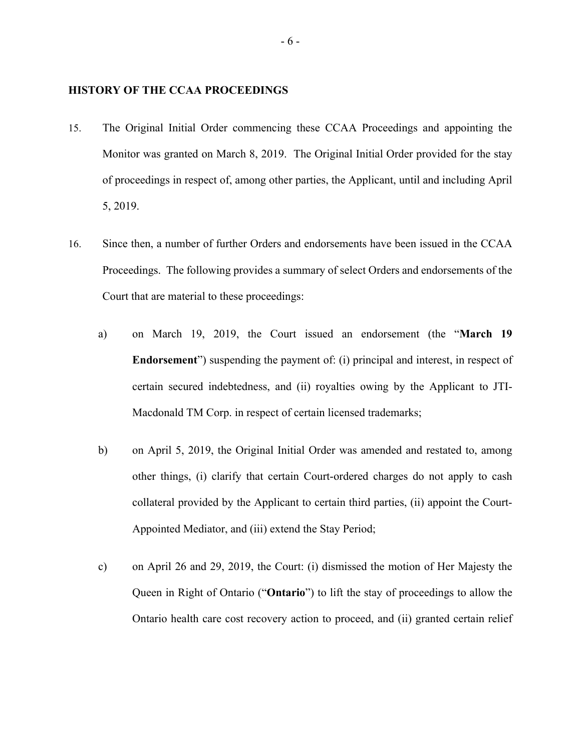## **HISTORY OF THE CCAA PROCEEDINGS**

- 15. The Original Initial Order commencing these CCAA Proceedings and appointing the Monitor was granted on March 8, 2019. The Original Initial Order provided for the stay of proceedings in respect of, among other parties, the Applicant, until and including April 5, 2019.
- 16. Since then, a number of further Orders and endorsements have been issued in the CCAA Proceedings. The following provides a summary of select Orders and endorsements of the Court that are material to these proceedings:
	- a) on March 19, 2019, the Court issued an endorsement (the "**March 19 Endorsement**") suspending the payment of: (i) principal and interest, in respect of certain secured indebtedness, and (ii) royalties owing by the Applicant to JTI-Macdonald TM Corp. in respect of certain licensed trademarks;
	- b) on April 5, 2019, the Original Initial Order was amended and restated to, among other things, (i) clarify that certain Court-ordered charges do not apply to cash collateral provided by the Applicant to certain third parties, (ii) appoint the Court-Appointed Mediator, and (iii) extend the Stay Period;
	- c) on April 26 and 29, 2019, the Court: (i) dismissed the motion of Her Majesty the Queen in Right of Ontario ("**Ontario**") to lift the stay of proceedings to allow the Ontario health care cost recovery action to proceed, and (ii) granted certain relief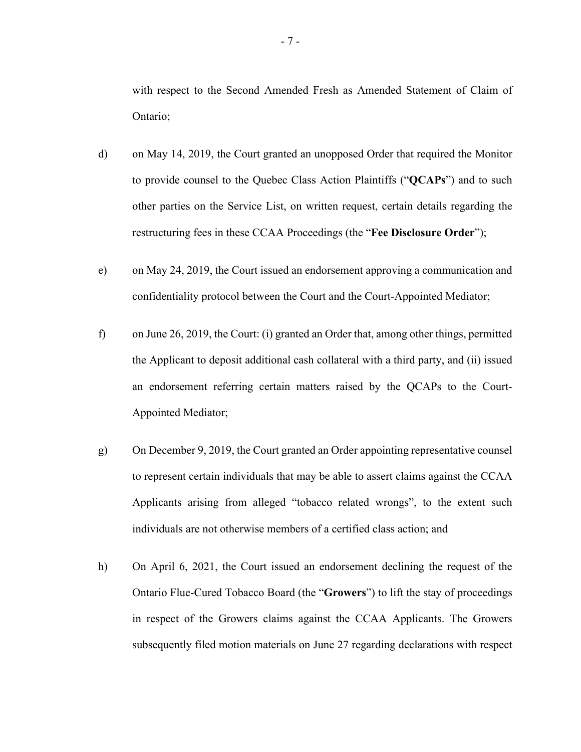with respect to the Second Amended Fresh as Amended Statement of Claim of Ontario;

- d) on May 14, 2019, the Court granted an unopposed Order that required the Monitor to provide counsel to the Quebec Class Action Plaintiffs ("**QCAPs**") and to such other parties on the Service List, on written request, certain details regarding the restructuring fees in these CCAA Proceedings (the "**Fee Disclosure Order**");
- e) on May 24, 2019, the Court issued an endorsement approving a communication and confidentiality protocol between the Court and the Court-Appointed Mediator;
- f) on June 26, 2019, the Court: (i) granted an Order that, among other things, permitted the Applicant to deposit additional cash collateral with a third party, and (ii) issued an endorsement referring certain matters raised by the QCAPs to the Court-Appointed Mediator;
- g) On December 9, 2019, the Court granted an Order appointing representative counsel to represent certain individuals that may be able to assert claims against the CCAA Applicants arising from alleged "tobacco related wrongs", to the extent such individuals are not otherwise members of a certified class action; and
- h) On April 6, 2021, the Court issued an endorsement declining the request of the Ontario Flue-Cured Tobacco Board (the "**Growers**") to lift the stay of proceedings in respect of the Growers claims against the CCAA Applicants. The Growers subsequently filed motion materials on June 27 regarding declarations with respect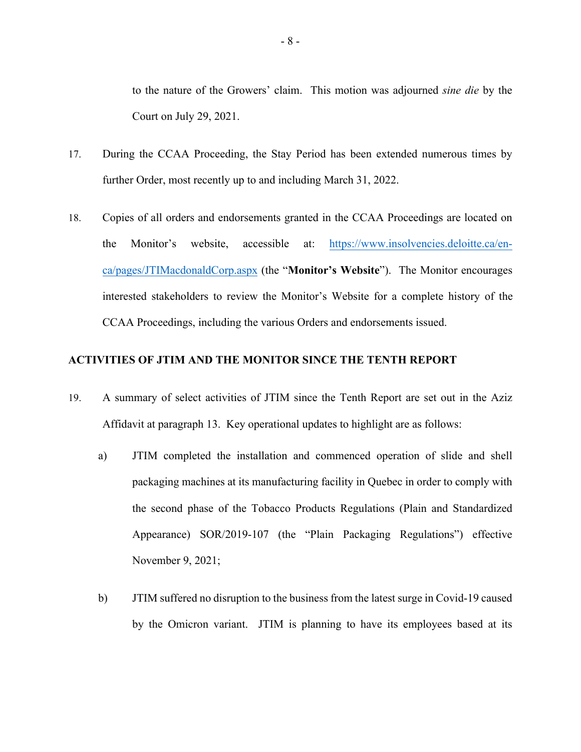to the nature of the Growers' claim. This motion was adjourned *sine die* by the Court on July 29, 2021.

- 17. During the CCAA Proceeding, the Stay Period has been extended numerous times by further Order, most recently up to and including March 31, 2022.
- 18. Copies of all orders and endorsements granted in the CCAA Proceedings are located on the Monitor's website, accessible at: https://www.insolvencies.deloitte.ca/enca/pages/JTIMacdonaldCorp.aspx (the "**Monitor's Website**"). The Monitor encourages interested stakeholders to review the Monitor's Website for a complete history of the CCAA Proceedings, including the various Orders and endorsements issued.

# **ACTIVITIES OF JTIM AND THE MONITOR SINCE THE TENTH REPORT**

- 19. A summary of select activities of JTIM since the Tenth Report are set out in the Aziz Affidavit at paragraph 13. Key operational updates to highlight are as follows:
	- a) JTIM completed the installation and commenced operation of slide and shell packaging machines at its manufacturing facility in Quebec in order to comply with the second phase of the Tobacco Products Regulations (Plain and Standardized Appearance) SOR/2019-107 (the "Plain Packaging Regulations") effective November 9, 2021;
	- b) JTIM suffered no disruption to the business from the latest surge in Covid-19 caused by the Omicron variant. JTIM is planning to have its employees based at its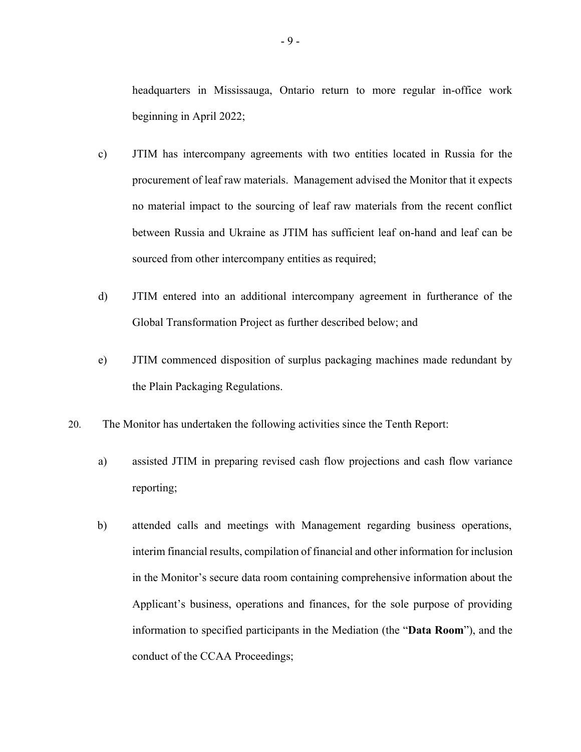headquarters in Mississauga, Ontario return to more regular in-office work beginning in April 2022;

- c) JTIM has intercompany agreements with two entities located in Russia for the procurement of leaf raw materials. Management advised the Monitor that it expects no material impact to the sourcing of leaf raw materials from the recent conflict between Russia and Ukraine as JTIM has sufficient leaf on-hand and leaf can be sourced from other intercompany entities as required;
- d) JTIM entered into an additional intercompany agreement in furtherance of the Global Transformation Project as further described below; and
- e) JTIM commenced disposition of surplus packaging machines made redundant by the Plain Packaging Regulations.
- 20. The Monitor has undertaken the following activities since the Tenth Report:
	- a) assisted JTIM in preparing revised cash flow projections and cash flow variance reporting;
	- b) attended calls and meetings with Management regarding business operations, interim financial results, compilation of financial and other information for inclusion in the Monitor's secure data room containing comprehensive information about the Applicant's business, operations and finances, for the sole purpose of providing information to specified participants in the Mediation (the "**Data Room**"), and the conduct of the CCAA Proceedings;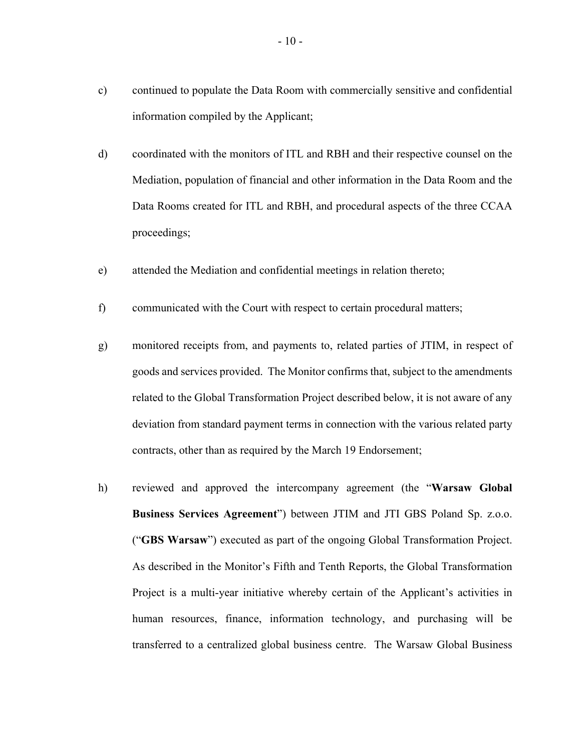- c) continued to populate the Data Room with commercially sensitive and confidential information compiled by the Applicant;
- d) coordinated with the monitors of ITL and RBH and their respective counsel on the Mediation, population of financial and other information in the Data Room and the Data Rooms created for ITL and RBH, and procedural aspects of the three CCAA proceedings;
- e) attended the Mediation and confidential meetings in relation thereto;
- f) communicated with the Court with respect to certain procedural matters;
- g) monitored receipts from, and payments to, related parties of JTIM, in respect of goods and services provided. The Monitor confirms that, subject to the amendments related to the Global Transformation Project described below, it is not aware of any deviation from standard payment terms in connection with the various related party contracts, other than as required by the March 19 Endorsement;
- h) reviewed and approved the intercompany agreement (the "**Warsaw Global Business Services Agreement**") between JTIM and JTI GBS Poland Sp. z.o.o. ("**GBS Warsaw**") executed as part of the ongoing Global Transformation Project. As described in the Monitor's Fifth and Tenth Reports, the Global Transformation Project is a multi-year initiative whereby certain of the Applicant's activities in human resources, finance, information technology, and purchasing will be transferred to a centralized global business centre. The Warsaw Global Business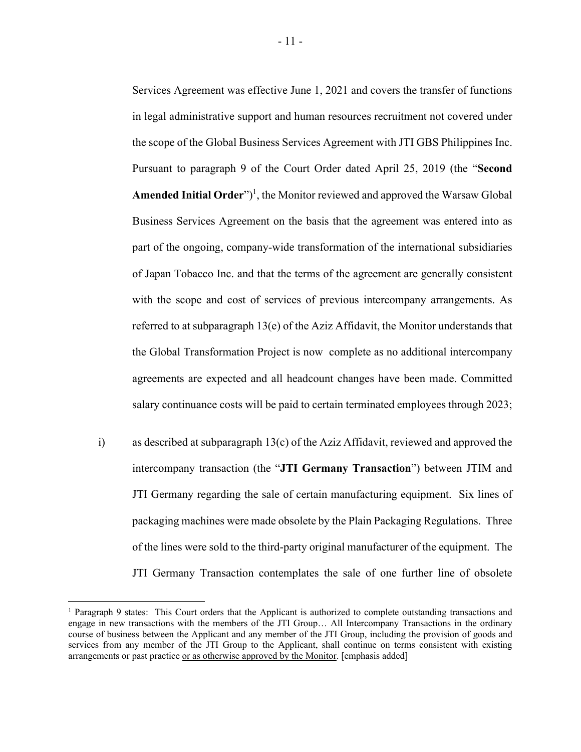Services Agreement was effective June 1, 2021 and covers the transfer of functions in legal administrative support and human resources recruitment not covered under the scope of the Global Business Services Agreement with JTI GBS Philippines Inc. Pursuant to paragraph 9 of the Court Order dated April 25, 2019 (the "**Second**  Amended Initial Order")<sup>1</sup>, the Monitor reviewed and approved the Warsaw Global Business Services Agreement on the basis that the agreement was entered into as part of the ongoing, company-wide transformation of the international subsidiaries of Japan Tobacco Inc. and that the terms of the agreement are generally consistent with the scope and cost of services of previous intercompany arrangements. As referred to at subparagraph 13(e) of the Aziz Affidavit, the Monitor understands that the Global Transformation Project is now complete as no additional intercompany agreements are expected and all headcount changes have been made. Committed salary continuance costs will be paid to certain terminated employees through 2023;

i) as described at subparagraph 13(c) of the Aziz Affidavit, reviewed and approved the intercompany transaction (the "**JTI Germany Transaction**") between JTIM and JTI Germany regarding the sale of certain manufacturing equipment. Six lines of packaging machines were made obsolete by the Plain Packaging Regulations. Three of the lines were sold to the third-party original manufacturer of the equipment. The JTI Germany Transaction contemplates the sale of one further line of obsolete

<sup>&</sup>lt;sup>1</sup> Paragraph 9 states: This Court orders that the Applicant is authorized to complete outstanding transactions and engage in new transactions with the members of the JTI Group… All Intercompany Transactions in the ordinary course of business between the Applicant and any member of the JTI Group, including the provision of goods and services from any member of the JTI Group to the Applicant, shall continue on terms consistent with existing arrangements or past practice or as otherwise approved by the Monitor. [emphasis added]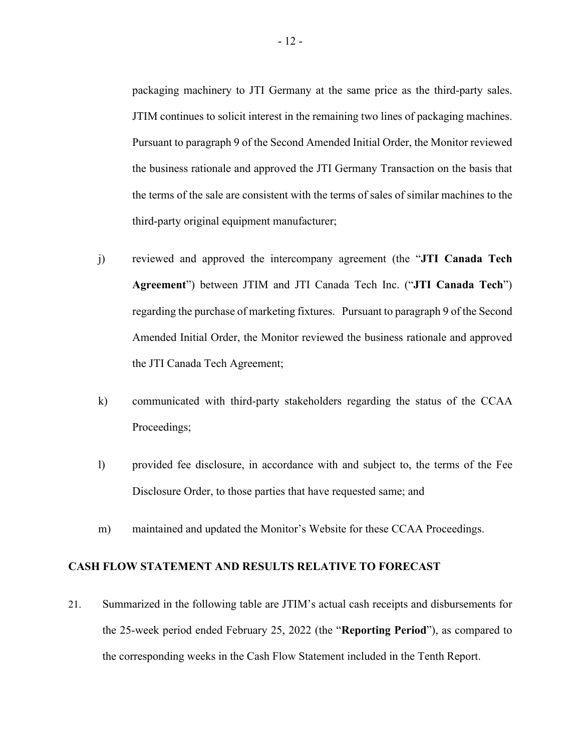packaging machinery to JTI Germany at the same price as the third-party sales. JTIM continues to solicit interest in the remaining two lines of packaging machines. Pursuant to paragraph 9 of the Second Amended Initial Order, the Monitor reviewed the business rationale and approved the JTI Germany Transaction on the basis that the terms of the sale are consistent with the terms of sales of similar machines to the third-party original equipment manufacturer;

- j) reviewed and approved the intercompany agreement (the "**JTI Canada Tech Agreement**") between JTIM and JTI Canada Tech Inc. ("**JTI Canada Tech**") regarding the purchase of marketing fixtures. Pursuant to paragraph 9 of the Second Amended Initial Order, the Monitor reviewed the business rationale and approved the JTI Canada Tech Agreement;
- k) communicated with third-party stakeholders regarding the status of the CCAA Proceedings;
- l) provided fee disclosure, in accordance with and subject to, the terms of the Fee Disclosure Order, to those parties that have requested same; and
- m) maintained and updated the Monitor's Website for these CCAA Proceedings.

## **CASH FLOW STATEMENT AND RESULTS RELATIVE TO FORECAST**

21. Summarized in the following table are JTIM's actual cash receipts and disbursements for the 25-week period ended February 25, 2022 (the "**Reporting Period**"), as compared to the corresponding weeks in the Cash Flow Statement included in the Tenth Report.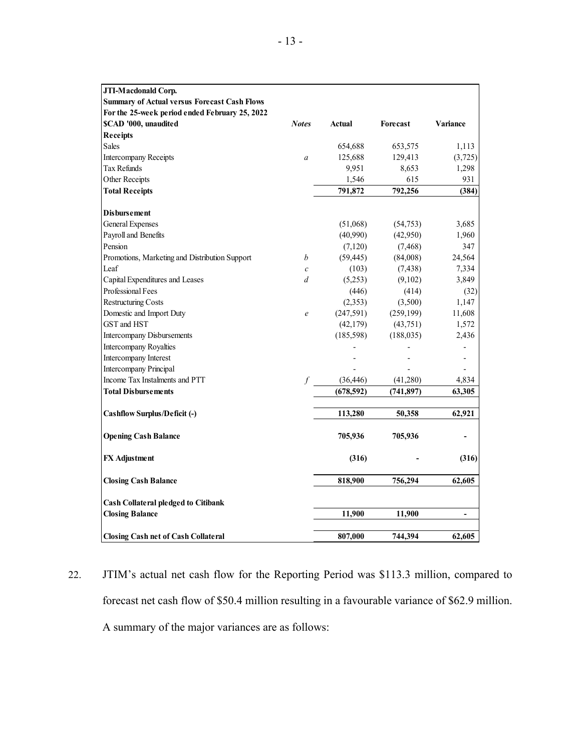| JTI-Macdonald Corp.                                 |                   |               |            |                |
|-----------------------------------------------------|-------------------|---------------|------------|----------------|
| <b>Summary of Actual versus Forecast Cash Flows</b> |                   |               |            |                |
| For the 25-week period ended February 25, 2022      |                   |               |            |                |
| \$CAD '000, unaudited                               | <b>Notes</b>      | <b>Actual</b> | Forecast   | Variance       |
| <b>Receipts</b>                                     |                   |               |            |                |
| <b>Sales</b>                                        |                   | 654,688       | 653,575    | 1,113          |
| <b>Intercompany Receipts</b>                        | $\boldsymbol{a}$  | 125,688       | 129,413    | (3,725)        |
| Tax Refunds                                         |                   | 9,951         | 8,653      | 1,298          |
| Other Receipts                                      |                   | 1,546         | 615        | 931            |
| <b>Total Receipts</b>                               |                   | 791,872       | 792,256    | (384)          |
| <b>Disbursement</b>                                 |                   |               |            |                |
| <b>General Expenses</b>                             |                   | (51,068)      | (54, 753)  | 3,685          |
| Payroll and Benefits                                |                   | (40,990)      | (42,950)   | 1,960          |
| Pension                                             |                   | (7,120)       | (7, 468)   | 347            |
| Promotions, Marketing and Distribution Support      | b                 | (59, 445)     | (84,008)   | 24,564         |
| Leaf                                                | $\mathcal C$      | (103)         | (7, 438)   | 7,334          |
| Capital Expenditures and Leases                     | d                 | (5,253)       | (9,102)    | 3,849          |
| Professional Fees                                   |                   | (446)         | (414)      | (32)           |
| <b>Restructuring Costs</b>                          |                   | (2,353)       | (3,500)    | 1,147          |
| Domestic and Import Duty                            | $\mathcal{C}_{0}$ | (247, 591)    | (259, 199) | 11,608         |
| GST and HST                                         |                   | (42, 179)     | (43,751)   | 1,572          |
| <b>Intercompany Disbursements</b>                   |                   | (185, 598)    | (188, 035) | 2,436          |
| Intercompany Royalties                              |                   |               |            |                |
| Intercompany Interest                               |                   |               |            |                |
| Intercompany Principal                              |                   |               |            |                |
| Income Tax Instalments and PTT                      | $\int$            | (36, 446)     | (41,280)   | 4,834          |
| <b>Total Disbursements</b>                          |                   | (678, 592)    | (741, 897) | 63,305         |
| Cashflow Surplus/Deficit (-)                        |                   | 113,280       | 50,358     | 62,921         |
| <b>Opening Cash Balance</b>                         |                   | 705,936       | 705,936    |                |
| <b>FX</b> Adjustment                                |                   | (316)         |            | (316)          |
| <b>Closing Cash Balance</b>                         |                   | 818,900       | 756,294    | 62,605         |
| <b>Cash Collateral pledged to Citibank</b>          |                   |               |            |                |
| <b>Closing Balance</b>                              |                   | 11,900        | 11,900     | $\blacksquare$ |
| <b>Closing Cash net of Cash Collateral</b>          |                   | 807,000       | 744,394    | 62,605         |

22. JTIM's actual net cash flow for the Reporting Period was \$113.3 million, compared to forecast net cash flow of \$50.4 million resulting in a favourable variance of \$62.9 million. A summary of the major variances are as follows: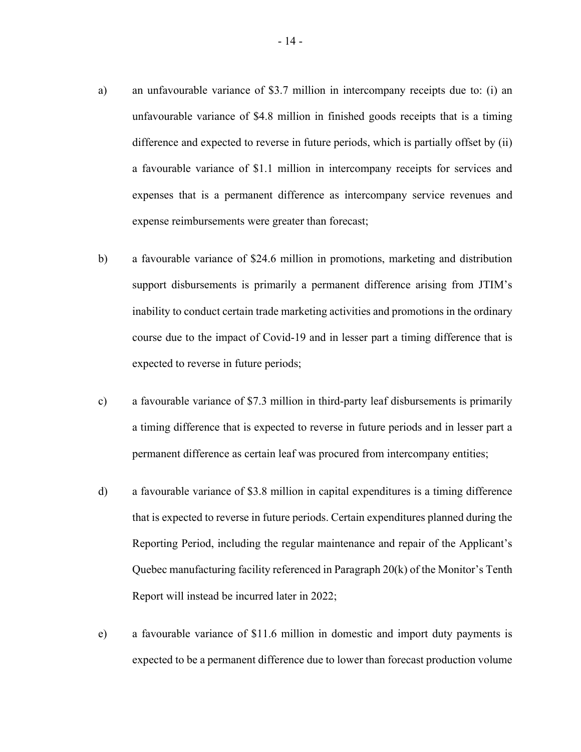- a) an unfavourable variance of \$3.7 million in intercompany receipts due to: (i) an unfavourable variance of \$4.8 million in finished goods receipts that is a timing difference and expected to reverse in future periods, which is partially offset by (ii) a favourable variance of \$1.1 million in intercompany receipts for services and expenses that is a permanent difference as intercompany service revenues and expense reimbursements were greater than forecast;
- b) a favourable variance of \$24.6 million in promotions, marketing and distribution support disbursements is primarily a permanent difference arising from JTIM's inability to conduct certain trade marketing activities and promotions in the ordinary course due to the impact of Covid-19 and in lesser part a timing difference that is expected to reverse in future periods;
- c) a favourable variance of \$7.3 million in third-party leaf disbursements is primarily a timing difference that is expected to reverse in future periods and in lesser part a permanent difference as certain leaf was procured from intercompany entities;
- d) a favourable variance of \$3.8 million in capital expenditures is a timing difference that is expected to reverse in future periods. Certain expenditures planned during the Reporting Period, including the regular maintenance and repair of the Applicant's Quebec manufacturing facility referenced in Paragraph 20(k) of the Monitor's Tenth Report will instead be incurred later in 2022;
- e) a favourable variance of \$11.6 million in domestic and import duty payments is expected to be a permanent difference due to lower than forecast production volume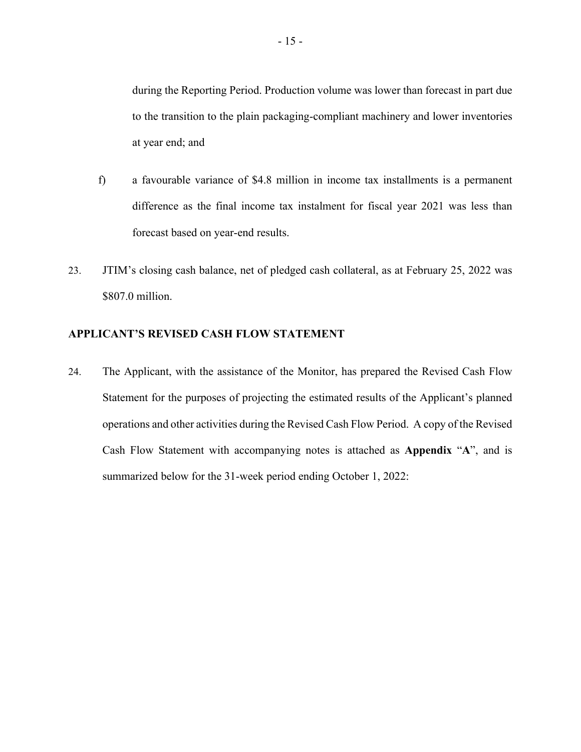during the Reporting Period. Production volume was lower than forecast in part due to the transition to the plain packaging-compliant machinery and lower inventories at year end; and

- f) a favourable variance of \$4.8 million in income tax installments is a permanent difference as the final income tax instalment for fiscal year 2021 was less than forecast based on year-end results.
- 23. JTIM's closing cash balance, net of pledged cash collateral, as at February 25, 2022 was \$807.0 million.

## **APPLICANT'S REVISED CASH FLOW STATEMENT**

24. The Applicant, with the assistance of the Monitor, has prepared the Revised Cash Flow Statement for the purposes of projecting the estimated results of the Applicant's planned operations and other activities during the Revised Cash Flow Period. A copy of the Revised Cash Flow Statement with accompanying notes is attached as **Appendix** "**A**", and is summarized below for the 31-week period ending October 1, 2022: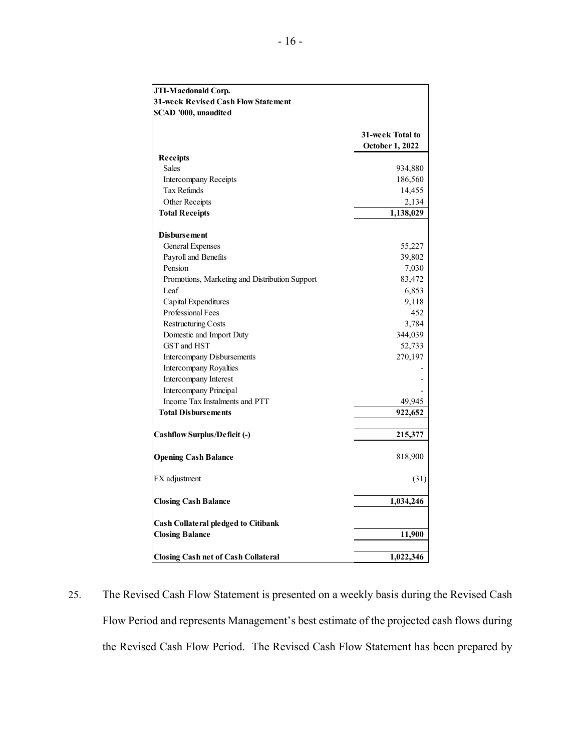| JTI-Macdonald Corp.                            |                  |
|------------------------------------------------|------------------|
| 31-week Revised Cash Flow Statement            |                  |
| SCAD '000, unaudited                           |                  |
|                                                |                  |
|                                                | 31-week Total to |
|                                                | October 1, 2022  |
| <b>Receipts</b>                                |                  |
| <b>Sales</b>                                   | 934,880          |
| Intercompany Receipts                          | 186,560          |
| <b>Tax Refunds</b>                             | 14,455           |
| Other Receipts                                 | 2,134            |
| <b>Total Receipts</b>                          | 1,138,029        |
| <b>Disbursement</b>                            |                  |
| General Expenses                               | 55,227           |
| Payroll and Benefits                           | 39,802           |
| Pension                                        | 7,030            |
| Promotions, Marketing and Distribution Support | 83,472           |
| Leaf                                           | 6,853            |
| Capital Expenditures                           | 9,118            |
| Professional Fees                              | 452              |
| <b>Restructuring Costs</b>                     | 3,784            |
| Domestic and Import Duty                       | 344,039          |
| GST and HST                                    | 52,733           |
| Intercompany Disbursements                     | 270,197          |
| Intercompany Royalties                         |                  |
| Intercompany Interest                          |                  |
| <b>Intercompany Principal</b>                  |                  |
| Income Tax Instalments and PTT                 | 49,945           |
| <b>Total Disbursements</b>                     | 922,652          |
|                                                |                  |
| <b>Cashflow Surplus/Deficit (-)</b>            | 215,377          |
| <b>Opening Cash Balance</b>                    | 818,900          |
| FX adjustment                                  | (31)             |
| <b>Closing Cash Balance</b>                    | 1,034,246        |
| <b>Cash Collateral pledged to Citibank</b>     |                  |
| <b>Closing Balance</b>                         | 11,900           |
| <b>Closing Cash net of Cash Collateral</b>     | 1,022,346        |

25. The Revised Cash Flow Statement is presented on a weekly basis during the Revised Cash Flow Period and represents Management's best estimate of the projected cash flows during the Revised Cash Flow Period. The Revised Cash Flow Statement has been prepared by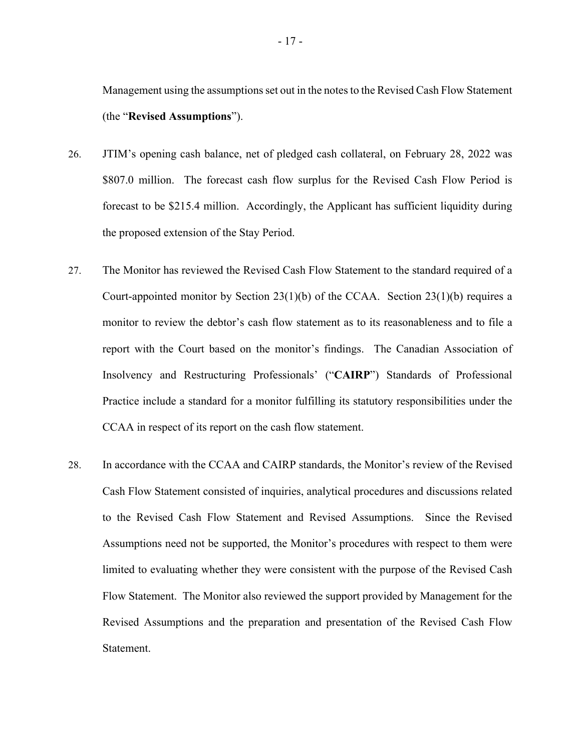Management using the assumptions set out in the notes to the Revised Cash Flow Statement (the "**Revised Assumptions**").

- 26. JTIM's opening cash balance, net of pledged cash collateral, on February 28, 2022 was \$807.0 million. The forecast cash flow surplus for the Revised Cash Flow Period is forecast to be \$215.4 million. Accordingly, the Applicant has sufficient liquidity during the proposed extension of the Stay Period.
- 27. The Monitor has reviewed the Revised Cash Flow Statement to the standard required of a Court-appointed monitor by Section  $23(1)(b)$  of the CCAA. Section  $23(1)(b)$  requires a monitor to review the debtor's cash flow statement as to its reasonableness and to file a report with the Court based on the monitor's findings. The Canadian Association of Insolvency and Restructuring Professionals' ("**CAIRP**") Standards of Professional Practice include a standard for a monitor fulfilling its statutory responsibilities under the CCAA in respect of its report on the cash flow statement.
- 28. In accordance with the CCAA and CAIRP standards, the Monitor's review of the Revised Cash Flow Statement consisted of inquiries, analytical procedures and discussions related to the Revised Cash Flow Statement and Revised Assumptions. Since the Revised Assumptions need not be supported, the Monitor's procedures with respect to them were limited to evaluating whether they were consistent with the purpose of the Revised Cash Flow Statement. The Monitor also reviewed the support provided by Management for the Revised Assumptions and the preparation and presentation of the Revised Cash Flow Statement.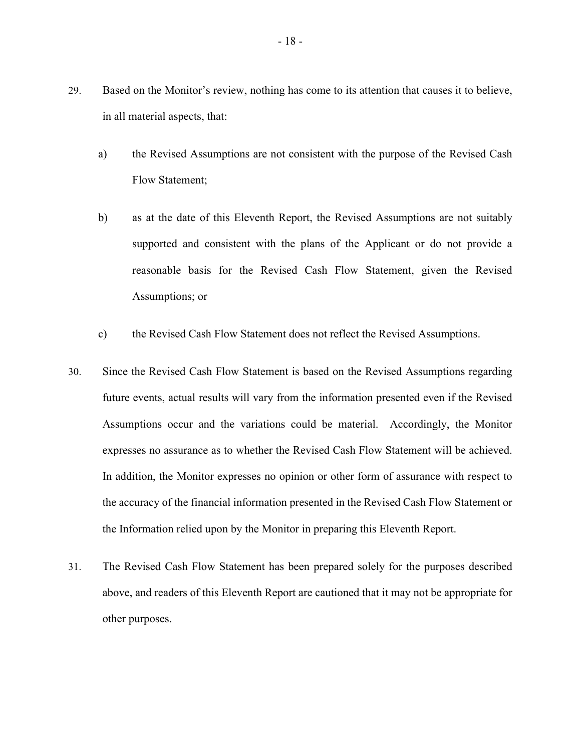- 29. Based on the Monitor's review, nothing has come to its attention that causes it to believe, in all material aspects, that:
	- a) the Revised Assumptions are not consistent with the purpose of the Revised Cash Flow Statement;
	- b) as at the date of this Eleventh Report, the Revised Assumptions are not suitably supported and consistent with the plans of the Applicant or do not provide a reasonable basis for the Revised Cash Flow Statement, given the Revised Assumptions; or
	- c) the Revised Cash Flow Statement does not reflect the Revised Assumptions.
- 30. Since the Revised Cash Flow Statement is based on the Revised Assumptions regarding future events, actual results will vary from the information presented even if the Revised Assumptions occur and the variations could be material. Accordingly, the Monitor expresses no assurance as to whether the Revised Cash Flow Statement will be achieved. In addition, the Monitor expresses no opinion or other form of assurance with respect to the accuracy of the financial information presented in the Revised Cash Flow Statement or the Information relied upon by the Monitor in preparing this Eleventh Report.
- 31. The Revised Cash Flow Statement has been prepared solely for the purposes described above, and readers of this Eleventh Report are cautioned that it may not be appropriate for other purposes.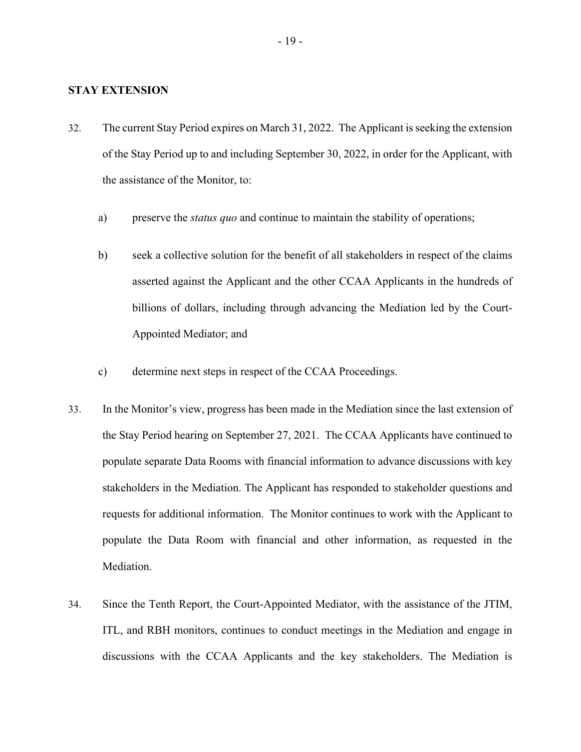## **STAY EXTENSION**

- 32. The current Stay Period expires on March 31, 2022. The Applicant is seeking the extension of the Stay Period up to and including September 30, 2022, in order for the Applicant, with the assistance of the Monitor, to:
	- a) preserve the *status quo* and continue to maintain the stability of operations;
	- b) seek a collective solution for the benefit of all stakeholders in respect of the claims asserted against the Applicant and the other CCAA Applicants in the hundreds of billions of dollars, including through advancing the Mediation led by the Court-Appointed Mediator; and
	- c) determine next steps in respect of the CCAA Proceedings.
- 33. In the Monitor's view, progress has been made in the Mediation since the last extension of the Stay Period hearing on September 27, 2021. The CCAA Applicants have continued to populate separate Data Rooms with financial information to advance discussions with key stakeholders in the Mediation. The Applicant has responded to stakeholder questions and requests for additional information. The Monitor continues to work with the Applicant to populate the Data Room with financial and other information, as requested in the Mediation.
- 34. Since the Tenth Report, the Court-Appointed Mediator, with the assistance of the JTIM, ITL, and RBH monitors, continues to conduct meetings in the Mediation and engage in discussions with the CCAA Applicants and the key stakeholders. The Mediation is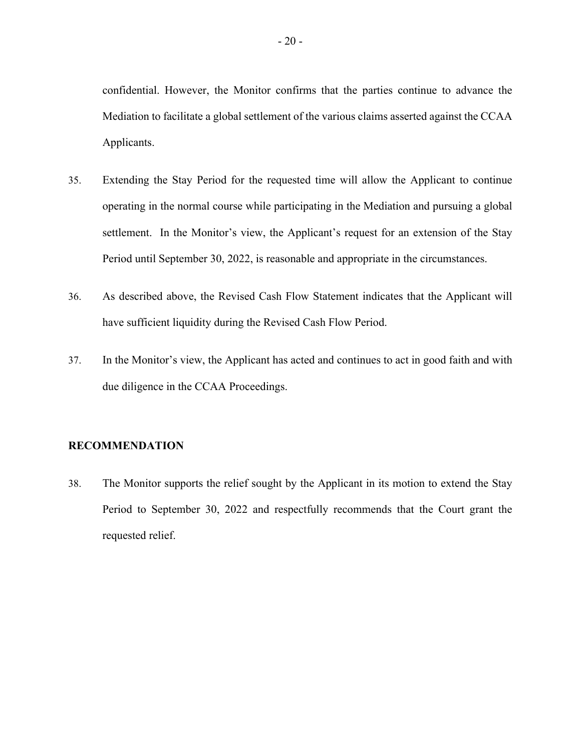confidential. However, the Monitor confirms that the parties continue to advance the Mediation to facilitate a global settlement of the various claims asserted against the CCAA Applicants.

- 35. Extending the Stay Period for the requested time will allow the Applicant to continue operating in the normal course while participating in the Mediation and pursuing a global settlement. In the Monitor's view, the Applicant's request for an extension of the Stay Period until September 30, 2022, is reasonable and appropriate in the circumstances.
- 36. As described above, the Revised Cash Flow Statement indicates that the Applicant will have sufficient liquidity during the Revised Cash Flow Period.
- 37. In the Monitor's view, the Applicant has acted and continues to act in good faith and with due diligence in the CCAA Proceedings.

# **RECOMMENDATION**

38. The Monitor supports the relief sought by the Applicant in its motion to extend the Stay Period to September 30, 2022 and respectfully recommends that the Court grant the requested relief.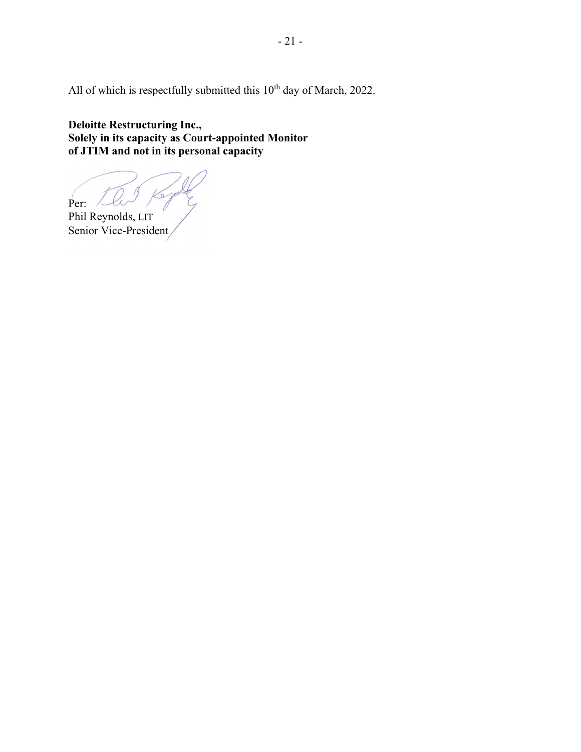All of which is respectfully submitted this  $10^{th}$  day of March, 2022.

**Deloitte Restructuring Inc., Solely in its capacity as Court-appointed Monitor of JTIM and not in its personal capacity**

Per:

Phil Reynolds, LIT Senior Vice-President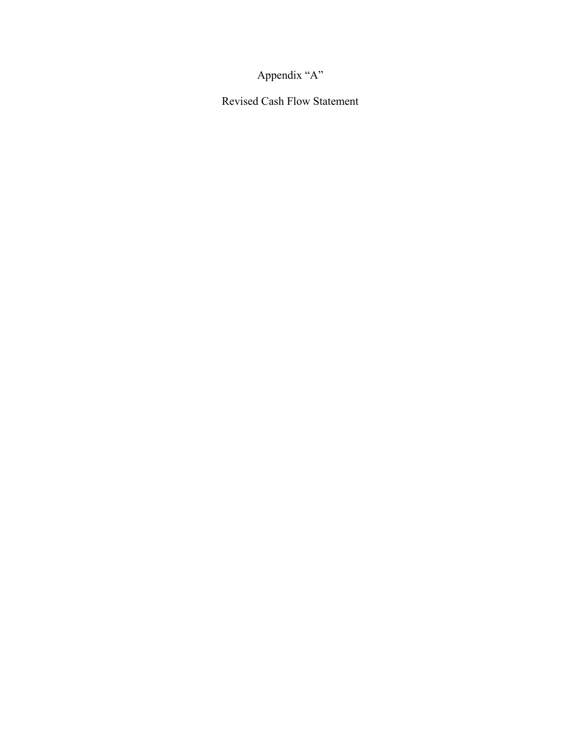Appendix "A"

Revised Cash Flow Statement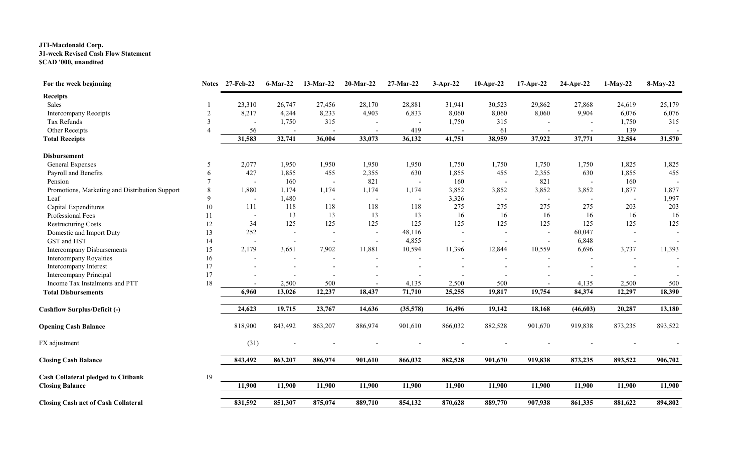# **JTI-Macdonald Corp. 31-week Revised Cash Flow Statement \$CAD '000, unaudited**

| For the week beginning                         | <b>Notes</b>   | 27-Feb-22 | <b>6-Mar-22</b>          | $13-Mar-22$              | $20$ -Mar-22             | $27-Mar-22$ | $3-Apr-22$               | 10-Apr-22 | 17-Apr-22                | 24-Apr-22 | $1-May-22$               | 8-May-22 |
|------------------------------------------------|----------------|-----------|--------------------------|--------------------------|--------------------------|-------------|--------------------------|-----------|--------------------------|-----------|--------------------------|----------|
| <b>Receipts</b>                                |                |           |                          |                          |                          |             |                          |           |                          |           |                          |          |
| Sales                                          |                | 23,310    | 26,747                   | 27,456                   | 28,170                   | 28,881      | 31,941                   | 30,523    | 29,862                   | 27,868    | 24,619                   | 25,179   |
| Intercompany Receipts                          | $\overline{2}$ | 8,217     | 4,244                    | 8,233                    | 4,903                    | 6,833       | 8,060                    | 8,060     | 8,060                    | 9,904     | 6,076                    | 6,076    |
| Tax Refunds                                    | $\mathcal{F}$  |           | 1,750                    | 315                      |                          |             | 1,750                    | 315       |                          |           | 1,750                    | 315      |
| Other Receipts                                 |                | 56        |                          |                          | $\overline{\phantom{a}}$ | 419         | $\overline{\phantom{a}}$ | 61        | $\overline{\phantom{a}}$ |           | 139                      |          |
| <b>Total Receipts</b>                          |                | 31,583    | 32,741                   | 36,004                   | 33,073                   | 36,132      | 41,751                   | 38,959    | 37,922                   | 37,771    | 32,584                   | 31,570   |
| <b>Disbursement</b>                            |                |           |                          |                          |                          |             |                          |           |                          |           |                          |          |
| General Expenses                               | 5              | 2,077     | 1,950                    | 1,950                    | 1,950                    | 1,950       | 1,750                    | 1,750     | 1,750                    | 1,750     | 1,825                    | 1,825    |
| Payroll and Benefits                           | 6              | 427       | 1,855                    | 455                      | 2,355                    | 630         | 1,855                    | 455       | 2,355                    | 630       | 1,855                    | 455      |
| Pension                                        |                |           | 160                      |                          | 821                      |             | 160                      |           | 821                      |           | 160                      |          |
| Promotions, Marketing and Distribution Support | 8              | 1,880     | 1,174                    | 1,174                    | 1,174                    | 1,174       | 3,852                    | 3,852     | 3,852                    | 3,852     | 1,877                    | 1,877    |
| Leaf                                           | 9              |           | 1,480                    |                          | $\overline{\phantom{a}}$ |             | 3,326                    |           |                          |           | $\overline{\phantom{a}}$ | 1,997    |
| Capital Expenditures                           | 10             | 111       | 118                      | 118                      | 118                      | 118         | 275                      | 275       | 275                      | 275       | 203                      | 203      |
| Professional Fees                              | 11             |           | 13                       | 13                       | 13                       | 13          | 16                       | 16        | 16                       | 16        | 16                       | 16       |
| <b>Restructuring Costs</b>                     | 12             | 34        | 125                      | 125                      | 125                      | 125         | 125                      | 125       | 125                      | 125       | 125                      | 125      |
| Domestic and Import Duty                       | 13             | 252       | $\overline{\phantom{a}}$ | $\overline{\phantom{a}}$ | $\sim$                   | 48,116      | $\sim$                   |           | $\sim$                   | 60,047    |                          |          |
| GST and HST                                    | 14             |           |                          |                          | $\sim$                   | 4,855       |                          |           |                          | 6,848     |                          |          |
| <b>Intercompany Disbursements</b>              | 15             | 2,179     | 3,651                    | 7,902                    | 11,881                   | 10,594      | 11,396                   | 12,844    | 10,559                   | 6,696     | 3,737                    | 11,393   |
| Intercompany Royalties                         | 16             |           |                          | $\blacksquare$           | $\blacksquare$           |             |                          |           |                          |           |                          |          |
| Intercompany Interest                          | 17             |           |                          |                          |                          |             |                          |           |                          |           |                          |          |
| Intercompany Principal                         | 17             |           |                          |                          |                          |             |                          |           |                          |           |                          |          |
| Income Tax Instalments and PTT                 | $18\,$         |           | 2,500                    | 500                      |                          | 4,135       | 2,500                    | 500       |                          | 4,135     | 2,500                    | 500      |
| <b>Total Disbursements</b>                     |                | 6,960     | 13,026                   | 12,237                   | 18,437                   | 71,710      | 25,255                   | 19,817    | 19,754                   | 84,374    | 12,297                   | 18,390   |
| <b>Cashflow Surplus/Deficit (-)</b>            |                | 24,623    | 19,715                   | 23,767                   | 14,636                   | (35,578)    | 16,496                   | 19,142    | 18,168                   | (46, 603) | 20,287                   | 13,180   |
| <b>Opening Cash Balance</b>                    |                | 818,900   | 843,492                  | 863,207                  | 886,974                  | 901,610     | 866,032                  | 882,528   | 901,670                  | 919,838   | 873,235                  | 893,522  |
| FX adjustment                                  |                | (31)      |                          |                          |                          |             |                          |           |                          |           |                          |          |
| <b>Closing Cash Balance</b>                    |                | 843,492   | 863,207                  | 886,974                  | 901,610                  | 866,032     | 882,528                  | 901,670   | 919,838                  | 873,235   | 893,522                  | 906,702  |
| <b>Cash Collateral pledged to Citibank</b>     | 19             |           |                          |                          |                          |             |                          |           |                          |           |                          |          |
| <b>Closing Balance</b>                         |                | 11,900    | 11,900                   | 11,900                   | 11,900                   | 11,900      | 11,900                   | 11,900    | 11,900                   | 11,900    | 11,900                   | 11,900   |
| <b>Closing Cash net of Cash Collateral</b>     |                | 831,592   | 851,307                  | 875,074                  | 889,710                  | 854,132     | 870,628                  | 889,770   | 907,938                  | 861,335   | 881,622                  | 894,802  |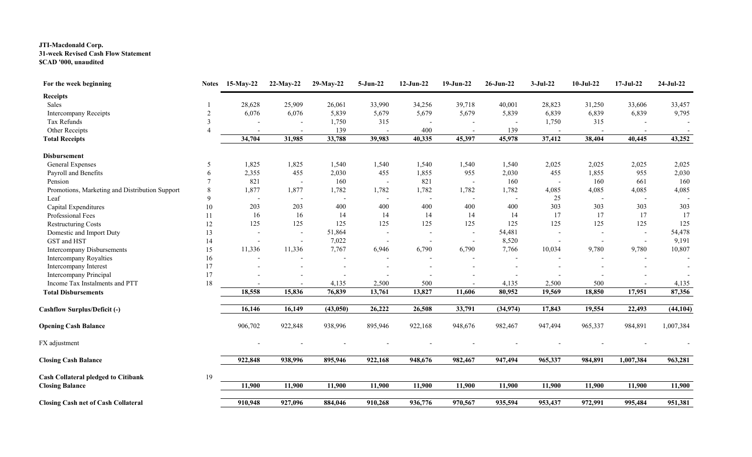# **JTI-Macdonald Corp. 31-week Revised Cash Flow Statement \$CAD '000, unaudited**

| For the week beginning                         | <b>Notes</b> | $15$ -May-22 | $22-May-22$ | 29-May-22 | $5-Jun-22$               | $12-Jun-22$              | $19-Jun-22$              | $26$ -Jun-22 | $3-Jul-22$ | $10-Jul-22$              | $17-Jul-22$              | 24-Jul-22                |
|------------------------------------------------|--------------|--------------|-------------|-----------|--------------------------|--------------------------|--------------------------|--------------|------------|--------------------------|--------------------------|--------------------------|
| <b>Receipts</b>                                |              |              |             |           |                          |                          |                          |              |            |                          |                          |                          |
| Sales                                          |              | 28,628       | 25,909      | 26,061    | 33,990                   | 34,256                   | 39,718                   | 40,001       | 28,823     | 31,250                   | 33,606                   | 33,457                   |
| Intercompany Receipts                          |              | 6,076        | 6,076       | 5,839     | 5,679                    | 5,679                    | 5,679                    | 5,839        | 6,839      | 6,839                    | 6,839                    | 9,795                    |
| Tax Refunds                                    |              |              |             | 1,750     | 315                      |                          |                          |              | 1,750      | 315                      |                          |                          |
| Other Receipts                                 |              |              |             | 139       |                          | 400                      | $\overline{\phantom{a}}$ | 139          |            |                          |                          | $\overline{\phantom{a}}$ |
| <b>Total Receipts</b>                          |              | 34,704       | 31,985      | 33,788    | 39,983                   | 40,335                   | 45,397                   | 45,978       | 37,412     | 38,404                   | 40,445                   | 43,252                   |
| <b>Disbursement</b>                            |              |              |             |           |                          |                          |                          |              |            |                          |                          |                          |
| General Expenses                               | 5            | 1,825        | 1,825       | 1,540     | 1,540                    | 1,540                    | 1,540                    | 1,540        | 2,025      | 2,025                    | 2,025                    | 2,025                    |
| Payroll and Benefits                           | 6            | 2,355        | 455         | 2,030     | 455                      | 1,855                    | 955                      | 2,030        | 455        | 1,855                    | 955                      | 2,030                    |
| Pension                                        |              | 821          |             | 160       |                          | 821                      |                          | 160          |            | 160                      | 661                      | 160                      |
| Promotions, Marketing and Distribution Support | 8            | 1,877        | 1,877       | 1,782     | 1,782                    | 1,782                    | 1,782                    | 1,782        | 4,085      | 4,085                    | 4,085                    | 4,085                    |
| Leaf                                           | 9            |              |             |           |                          |                          |                          |              | 25         |                          |                          |                          |
| Capital Expenditures                           | $10\,$       | 203          | 203         | 400       | 400                      | 400                      | 400                      | 400          | 303        | 303                      | 303                      | 303                      |
| Professional Fees                              | 11           | 16           | 16          | 14        | 14                       | 14                       | 14                       | 14           | 17         | 17                       | 17                       | 17                       |
| <b>Restructuring Costs</b>                     | 12           | 125          | 125         | 125       | 125                      | 125                      | 125                      | 125          | 125        | 125                      | 125                      | 125                      |
| Domestic and Import Duty                       | 13           |              |             | 51,864    | $\overline{\phantom{a}}$ | $\overline{\phantom{a}}$ | $\overline{\phantom{a}}$ | 54,481       |            | $\overline{\phantom{a}}$ | $\overline{\phantom{a}}$ | 54,478                   |
| GST and HST                                    | 14           |              |             | 7,022     |                          |                          |                          | 8,520        |            |                          |                          | 9,191                    |
| <b>Intercompany Disbursements</b>              | 15           | 11,336       | 11,336      | 7,767     | 6,946                    | 6,790                    | 6,790                    | 7,766        | 10,034     | 9,780                    | 9,780                    | 10,807                   |
| Intercompany Royalties                         | 16           |              |             |           |                          |                          |                          |              |            |                          |                          |                          |
| Intercompany Interest                          | 17           |              |             |           |                          |                          |                          |              |            |                          |                          |                          |
| Intercompany Principal                         | 17           |              |             |           |                          |                          |                          |              |            |                          |                          |                          |
| Income Tax Instalments and PTT                 | 18           |              |             | 4,135     | 2,500                    | 500                      |                          | 4,135        | 2,500      | 500                      |                          | 4,135                    |
| <b>Total Disbursements</b>                     |              | 18,558       | 15,836      | 76,839    | 13,761                   | 13,827                   | 11,606                   | 80,952       | 19,569     | 18,850                   | 17,951                   | 87,356                   |
| <b>Cashflow Surplus/Deficit (-)</b>            |              | 16,146       | 16,149      | (43,050)  | 26,222                   | 26,508                   | 33,791                   | (34, 974)    | 17,843     | 19,554                   | 22,493                   | (44, 104)                |
| <b>Opening Cash Balance</b>                    |              | 906,702      | 922,848     | 938,996   | 895,946                  | 922,168                  | 948,676                  | 982,467      | 947,494    | 965,337                  | 984,891                  | 1,007,384                |
| FX adjustment                                  |              |              |             |           |                          |                          |                          |              |            |                          |                          |                          |
| <b>Closing Cash Balance</b>                    |              | 922,848      | 938,996     | 895,946   | 922,168                  | 948,676                  | 982,467                  | 947,494      | 965,337    | 984,891                  | 1,007,384                | 963,281                  |
| <b>Cash Collateral pledged to Citibank</b>     | 19           |              |             |           |                          |                          |                          |              |            |                          |                          |                          |
| <b>Closing Balance</b>                         |              | 11,900       | 11,900      | 11,900    | 11,900                   | 11,900                   | 11,900                   | 11,900       | 11,900     | 11,900                   | 11,900                   | 11,900                   |
| <b>Closing Cash net of Cash Collateral</b>     |              | 910,948      | 927,096     | 884,046   | 910,268                  | 936,776                  | 970,567                  | 935,594      | 953,437    | 972,991                  | 995,484                  | 951,381                  |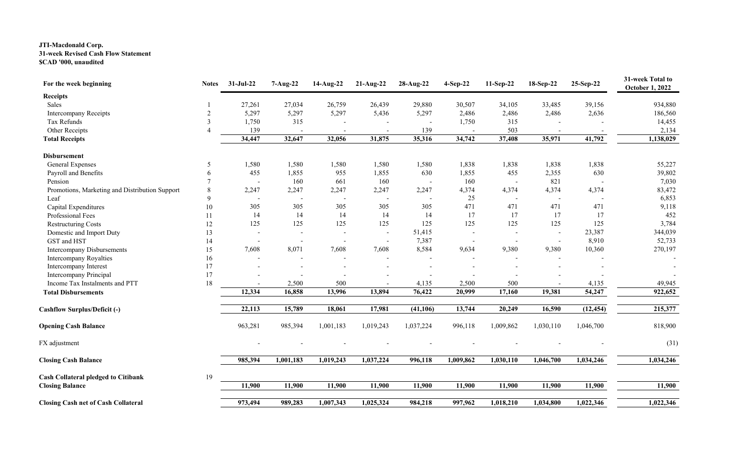# **JTI-Macdonald Corp. 31-week Revised Cash Flow Statement \$CAD '000, unaudited**

| For the week beginning                         | <b>Notes</b> | 31-Jul-22                | $7-Aug-22$ | 14-Aug-22 | $21-Aug-22$ | 28-Aug-22                | 4-Sep-22  | 11-Sep-22 | 18-Sep-22 | 25-Sep-22 | 31-week Total to<br><b>October 1, 2022</b> |
|------------------------------------------------|--------------|--------------------------|------------|-----------|-------------|--------------------------|-----------|-----------|-----------|-----------|--------------------------------------------|
| <b>Receipts</b>                                |              |                          |            |           |             |                          |           |           |           |           |                                            |
| Sales                                          |              | 27,261                   | 27,034     | 26,759    | 26,439      | 29,880                   | 30,507    | 34,105    | 33,485    | 39,156    | 934,880                                    |
| <b>Intercompany Receipts</b>                   |              | 5,297                    | 5,297      | 5,297     | 5,436       | 5,297                    | 2,486     | 2,486     | 2,486     | 2,636     | 186,560                                    |
| Tax Refunds                                    | 3            | 1,750                    | 315        |           |             |                          | 1,750     | 315       |           |           | 14,455                                     |
| Other Receipts                                 |              | 139                      |            |           |             | 139                      |           | 503       |           |           | 2,134                                      |
| <b>Total Receipts</b>                          |              | 34,447                   | 32,647     | 32,056    | 31,875      | 35,316                   | 34,742    | 37,408    | 35,971    | 41,792    | 1,138,029                                  |
| <b>Disbursement</b>                            |              |                          |            |           |             |                          |           |           |           |           |                                            |
| General Expenses                               | .5           | 1,580                    | 1,580      | 1,580     | 1,580       | 1,580                    | 1,838     | 1,838     | 1,838     | 1,838     | 55,227                                     |
| Payroll and Benefits                           | 6            | 455                      | 1,855      | 955       | 1,855       | 630                      | 1,855     | 455       | 2,355     | 630       | 39,802                                     |
| Pension                                        |              |                          | 160        | 661       | 160         |                          | 160       |           | 821       |           | 7,030                                      |
| Promotions, Marketing and Distribution Support | 8            | 2,247                    | 2,247      | 2,247     | 2,247       | 2,247                    | 4,374     | 4,374     | 4,374     | 4,374     | 83,472                                     |
| Leaf                                           | 9            | $\overline{\phantom{a}}$ |            |           |             | $\overline{\phantom{a}}$ | 25        |           |           |           | 6,853                                      |
| Capital Expenditures                           | 10           | 305                      | 305        | 305       | 305         | 305                      | 471       | 471       | 471       | 471       | 9,118                                      |
| Professional Fees                              | 11           | 14                       | 14         | 14        | 14          | 14                       | 17        | 17        | 17        | 17        | 452                                        |
| <b>Restructuring Costs</b>                     | 12           | 125                      | 125        | 125       | 125         | 125                      | 125       | 125       | 125       | 125       | 3,784                                      |
| Domestic and Import Duty                       | 13           |                          |            |           |             | 51,415                   |           |           |           | 23,387    | 344,039                                    |
| GST and HST                                    | 14           |                          |            |           |             | 7,387                    |           |           |           | 8,910     | 52,733                                     |
| <b>Intercompany Disbursements</b>              | 15           | 7,608                    | 8,071      | 7,608     | 7,608       | 8,584                    | 9,634     | 9,380     | 9,380     | 10,360    | 270,197                                    |
| Intercompany Royalties                         | 16           |                          |            |           |             |                          |           |           |           |           |                                            |
| Intercompany Interest                          | 17           |                          |            |           |             |                          |           |           |           |           |                                            |
| Intercompany Principal                         | 17           |                          |            |           |             |                          |           |           |           |           |                                            |
| Income Tax Instalments and PTT                 | 18           |                          | 2,500      | 500       |             | 4,135                    | 2,500     | 500       |           | 4,135     | 49,945                                     |
| <b>Total Disbursements</b>                     |              | 12,334                   | 16,858     | 13,996    | 13,894      | 76,422                   | 20,999    | 17,160    | 19,381    | 54,247    | 922,652                                    |
| <b>Cashflow Surplus/Deficit (-)</b>            |              | 22,113                   | 15,789     | 18,061    | 17,981      | (41, 106)                | 13,744    | 20,249    | 16,590    | (12, 454) | 215,377                                    |
| <b>Opening Cash Balance</b>                    |              | 963,281                  | 985,394    | 1,001,183 | 1,019,243   | 1,037,224                | 996,118   | 1,009,862 | 1,030,110 | 1,046,700 | 818,900                                    |
| FX adjustment                                  |              |                          |            |           |             |                          |           |           |           |           | (31)                                       |
| <b>Closing Cash Balance</b>                    |              | 985,394                  | 1,001,183  | 1,019,243 | 1,037,224   | 996,118                  | 1,009,862 | 1,030,110 | 1,046,700 | 1,034,246 | 1,034,246                                  |
| <b>Cash Collateral pledged to Citibank</b>     | 19           |                          |            |           |             |                          |           |           |           |           |                                            |
| <b>Closing Balance</b>                         |              | 11,900                   | 11,900     | 11,900    | 11,900      | 11,900                   | 11,900    | 11,900    | 11,900    | 11,900    | 11,900                                     |
| <b>Closing Cash net of Cash Collateral</b>     |              | 973,494                  | 989,283    | 1,007,343 | 1,025,324   | 984,218                  | 997,962   | 1,018,210 | 1,034,800 | 1,022,346 | 1,022,346                                  |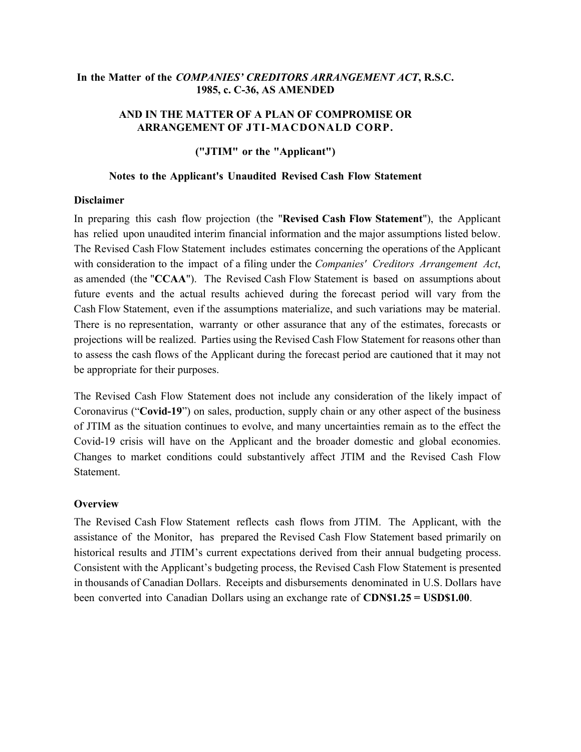# **In the Matter of the** *COMPANIES' CREDITORS ARRANGEMENT ACT***, R.S.C. 1985, c. C-36, AS AMENDED**

# **AND IN THE MATTER OF A PLAN OF COMPROMISE OR ARRANGEMENT OF JTI-MACDONALD CORP.**

**("JTIM" or the "Applicant")**

#### **Notes to the Applicant's Unaudited Revised Cash Flow Statement**

#### **Disclaimer**

In preparing this cash flow projection (the "**Revised Cash Flow Statement**"), the Applicant has relied upon unaudited interim financial information and the major assumptions listed below. The Revised Cash Flow Statement includes estimates concerning the operations of the Applicant with consideration to the impact of a filing under the *Companies' Creditors Arrangement Act*, as amended (the "**CCAA**"). The Revised Cash Flow Statement is based on assumptions about future events and the actual results achieved during the forecast period will vary from the Cash Flow Statement, even if the assumptions materialize, and such variations may be material. There is no representation, warranty or other assurance that any of the estimates, forecasts or projections will be realized. Parties using the Revised Cash Flow Statement for reasons other than to assess the cash flows of the Applicant during the forecast period are cautioned that it may not be appropriate for their purposes.

The Revised Cash Flow Statement does not include any consideration of the likely impact of Coronavirus ("**Covid-19**") on sales, production, supply chain or any other aspect of the business of JTIM as the situation continues to evolve, and many uncertainties remain as to the effect the Covid-19 crisis will have on the Applicant and the broader domestic and global economies. Changes to market conditions could substantively affect JTIM and the Revised Cash Flow Statement.

## **Overview**

The Revised Cash Flow Statement reflects cash flows from JTIM. The Applicant, with the assistance of the Monitor, has prepared the Revised Cash Flow Statement based primarily on historical results and JTIM's current expectations derived from their annual budgeting process. Consistent with the Applicant's budgeting process, the Revised Cash Flow Statement is presented in thousands of Canadian Dollars. Receipts and disbursements denominated in U.S. Dollars have been converted into Canadian Dollars using an exchange rate of **CDN\$1.25 = USD\$1.00**.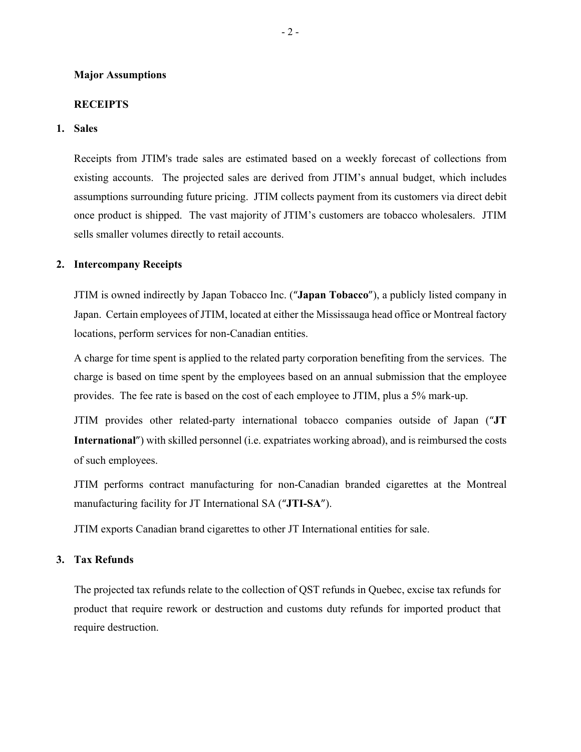#### **Major Assumptions**

#### **RECEIPTS**

#### **1. Sales**

Receipts from JTIM's trade sales are estimated based on a weekly forecast of collections from existing accounts. The projected sales are derived from JTIM's annual budget, which includes assumptions surrounding future pricing. JTIM collects payment from its customers via direct debit once product is shipped. The vast majority of JTIM's customers are tobacco wholesalers. JTIM sells smaller volumes directly to retail accounts.

## **2. Intercompany Receipts**

JTIM is owned indirectly by Japan Tobacco Inc. ("**Japan Tobacco**"), a publicly listed company in Japan. Certain employees of JTIM, located at either the Mississauga head office or Montreal factory locations, perform services for non-Canadian entities.

A charge for time spent is applied to the related party corporation benefiting from the services. The charge is based on time spent by the employees based on an annual submission that the employee provides. The fee rate is based on the cost of each employee to JTIM, plus a 5% mark-up.

JTIM provides other related-party international tobacco companies outside of Japan ("**JT International**") with skilled personnel (i.e. expatriates working abroad), and is reimbursed the costs of such employees.

JTIM performs contract manufacturing for non-Canadian branded cigarettes at the Montreal manufacturing facility for JT International SA ("**JTI-SA**").

JTIM exports Canadian brand cigarettes to other JT International entities for sale.

## **3. Tax Refunds**

The projected tax refunds relate to the collection of QST refunds in Quebec, excise tax refunds for product that require rework or destruction and customs duty refunds for imported product that require destruction.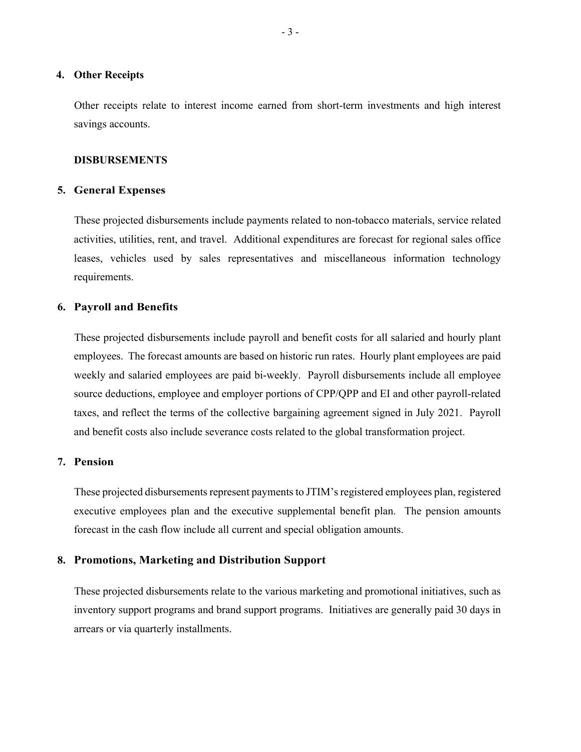#### **4. Other Receipts**

Other receipts relate to interest income earned from short-term investments and high interest savings accounts.

#### **DISBURSEMENTS**

#### **5. General Expenses**

These projected disbursements include payments related to non-tobacco materials, service related activities, utilities, rent, and travel. Additional expenditures are forecast for regional sales office leases, vehicles used by sales representatives and miscellaneous information technology requirements.

#### **6. Payroll and Benefits**

These projected disbursements include payroll and benefit costs for all salaried and hourly plant employees. The forecast amounts are based on historic run rates. Hourly plant employees are paid weekly and salaried employees are paid bi-weekly. Payroll disbursements include all employee source deductions, employee and employer portions of CPP/QPP and EI and other payroll-related taxes, and reflect the terms of the collective bargaining agreement signed in July 2021. Payroll and benefit costs also include severance costs related to the global transformation project.

### **7. Pension**

These projected disbursements represent payments to JTIM's registered employees plan, registered executive employees plan and the executive supplemental benefit plan. The pension amounts forecast in the cash flow include all current and special obligation amounts.

## **8. Promotions, Marketing and Distribution Support**

These projected disbursements relate to the various marketing and promotional initiatives, such as inventory support programs and brand support programs. Initiatives are generally paid 30 days in arrears or via quarterly installments.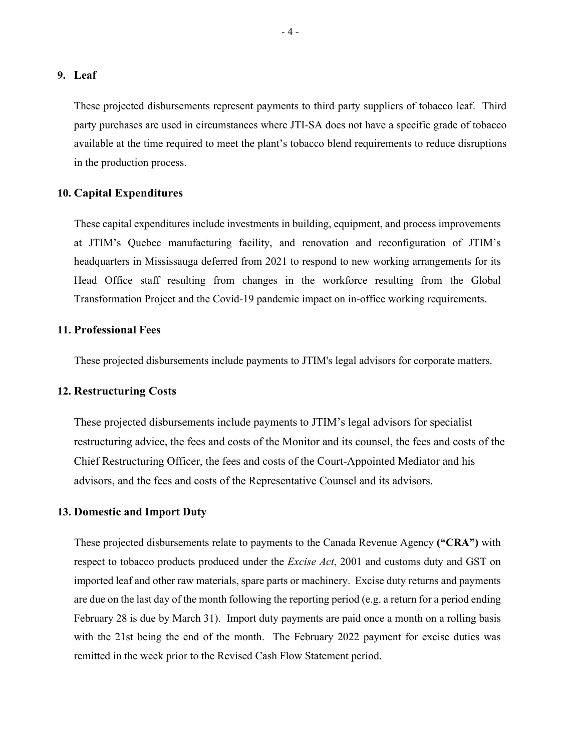#### **9. Leaf**

These projected disbursements represent payments to third party suppliers of tobacco leaf. Third party purchases are used in circumstances where JTI-SA does not have a specific grade of tobacco available at the time required to meet the plant's tobacco blend requirements to reduce disruptions in the production process.

## **10. Capital Expenditures**

These capital expenditures include investments in building, equipment, and process improvements at JTIM's Quebec manufacturing facility, and renovation and reconfiguration of JTIM's headquarters in Mississauga deferred from 2021 to respond to new working arrangements for its Head Office staff resulting from changes in the workforce resulting from the Global Transformation Project and the Covid-19 pandemic impact on in-office working requirements.

## **11. Professional Fees**

These projected disbursements include payments to JTIM's legal advisors for corporate matters.

### **12. Restructuring Costs**

These projected disbursements include payments to JTIM's legal advisors for specialist restructuring advice, the fees and costs of the Monitor and its counsel, the fees and costs of the Chief Restructuring Officer, the fees and costs of the Court-Appointed Mediator and his advisors, and the fees and costs of the Representative Counsel and its advisors.

## **13. Domestic and Import Duty**

These projected disbursements relate to payments to the Canada Revenue Agency **("CRA")** with respect to tobacco products produced under the *Excise Act*, 2001 and customs duty and GST on imported leaf and other raw materials, spare parts or machinery. Excise duty returns and payments are due on the last day of the month following the reporting period (e.g. a return for a period ending February 28 is due by March 31). Import duty payments are paid once a month on a rolling basis with the 21st being the end of the month. The February 2022 payment for excise duties was remitted in the week prior to the Revised Cash Flow Statement period.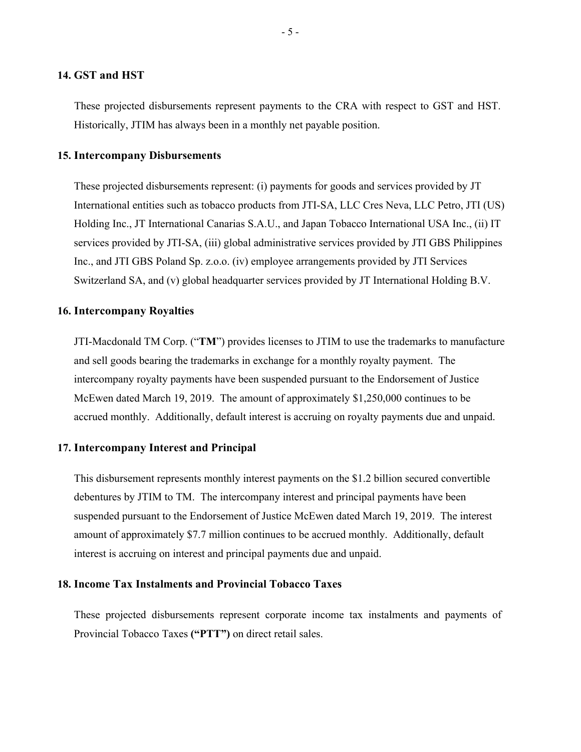## **14. GST and HST**

These projected disbursements represent payments to the CRA with respect to GST and HST. Historically, JTIM has always been in a monthly net payable position.

#### **15. Intercompany Disbursements**

These projected disbursements represent: (i) payments for goods and services provided by JT International entities such as tobacco products from JTI-SA, LLC Cres Neva, LLC Petro, JTI (US) Holding Inc., JT International Canarias S.A.U., and Japan Tobacco International USA Inc., (ii) IT services provided by JTI-SA, (iii) global administrative services provided by JTI GBS Philippines Inc., and JTI GBS Poland Sp. z.o.o. (iv) employee arrangements provided by JTI Services Switzerland SA, and (v) global headquarter services provided by JT International Holding B.V.

#### **16. Intercompany Royalties**

JTI-Macdonald TM Corp. ("**TM**") provides licenses to JTIM to use the trademarks to manufacture and sell goods bearing the trademarks in exchange for a monthly royalty payment. The intercompany royalty payments have been suspended pursuant to the Endorsement of Justice McEwen dated March 19, 2019. The amount of approximately \$1,250,000 continues to be accrued monthly. Additionally, default interest is accruing on royalty payments due and unpaid.

#### **17. Intercompany Interest and Principal**

This disbursement represents monthly interest payments on the \$1.2 billion secured convertible debentures by JTIM to TM. The intercompany interest and principal payments have been suspended pursuant to the Endorsement of Justice McEwen dated March 19, 2019. The interest amount of approximately \$7.7 million continues to be accrued monthly. Additionally, default interest is accruing on interest and principal payments due and unpaid.

## **18. Income Tax Instalments and Provincial Tobacco Taxes**

These projected disbursements represent corporate income tax instalments and payments of Provincial Tobacco Taxes **("PTT")** on direct retail sales.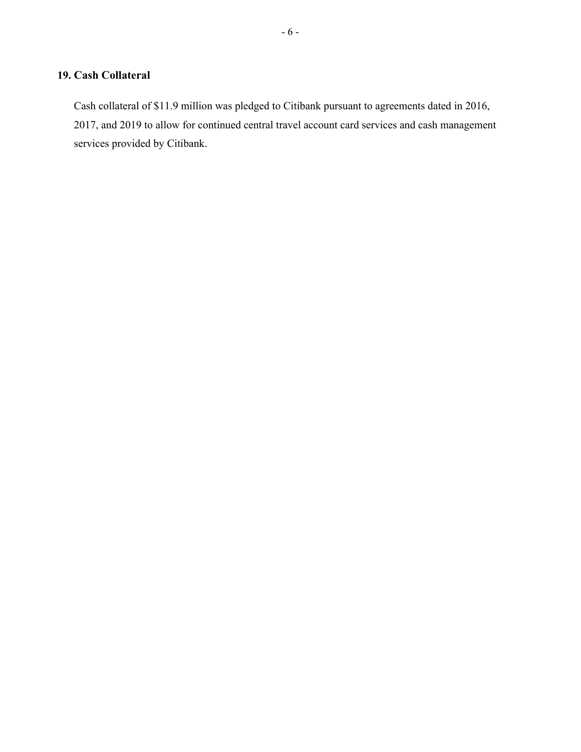# **19. Cash Collateral**

Cash collateral of \$11.9 million was pledged to Citibank pursuant to agreements dated in 2016, 2017, and 2019 to allow for continued central travel account card services and cash management services provided by Citibank.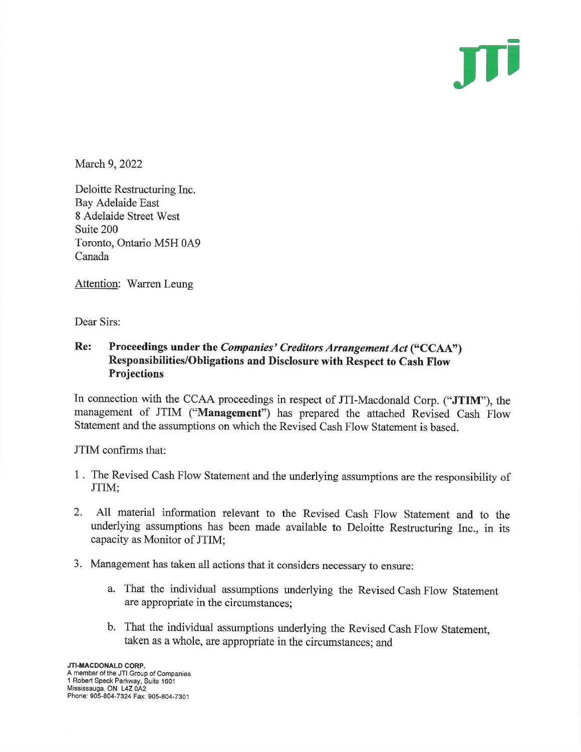JTİ

March 9, 2022

Deloitte Restructuring Inc. Bay Adelaide East 8 Adelaide Street West Suite 200 Toronto, Ontario M5H 0A9 Canada

Attention: Warren Leung

Dear Sirs:

#### Re: Proceedings under the Companies' Creditors Arrangement Act ("CCAA") Responsibilities/Obligations and Disclosure with Respect to Cash Flow **Projections**

In connection with the CCAA proceedings in respect of JTI-Macdonald Corp. ("JTIM"), the management of JTIM ("Management") has prepared the attached Revised Cash Flow Statement and the assumptions on which the Revised Cash Flow Statement is based.

JTIM confirms that:

- 1. The Revised Cash Flow Statement and the underlying assumptions are the responsibility of JTIM:
- All material information relevant to the Revised Cash Flow Statement and to the  $2.$ underlying assumptions has been made available to Deloitte Restructuring Inc., in its capacity as Monitor of JTIM:
- 3. Management has taken all actions that it considers necessary to ensure:
	- a. That the individual assumptions underlying the Revised Cash Flow Statement are appropriate in the circumstances:
	- b. That the individual assumptions underlying the Revised Cash Flow Statement, taken as a whole, are appropriate in the circumstances; and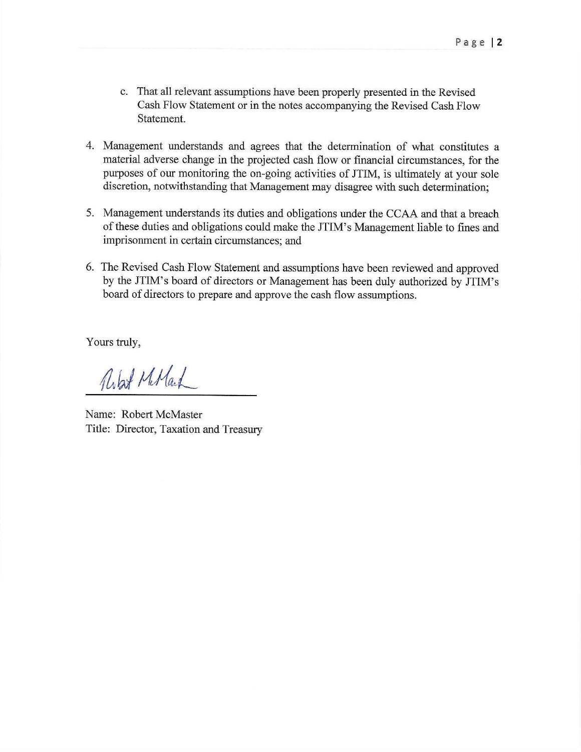- c. That all relevant assumptions have been properly presented in the Revised Cash Flow Statement or in the notes accompanying the Revised Cash Flow Statement.
- 4. Management understands and agrees that the determination of what constitutes a material adverse change in the projected cash flow or financial circumstances, for the purposes of our monitoring the on-going activities of JTIM, is ultimately at your sole discretion, notwithstanding that Management may disagree with such determination;
- 5. Management understands its duties and obligations under the CCAA and that a breach of these duties and obligations could make the JTIM's Management liable to fines and imprisonment in certain circumstances; and
- 6. The Revised Cash Flow Statement and assumptions have been reviewed and approved by the JTIM's board of directors or Management has been duly authorized by JTIM's board of directors to prepare and approve the cash flow assumptions.

Yours truly,

Rolard Miland

Name: Robert McMaster Title: Director, Taxation and Treasury